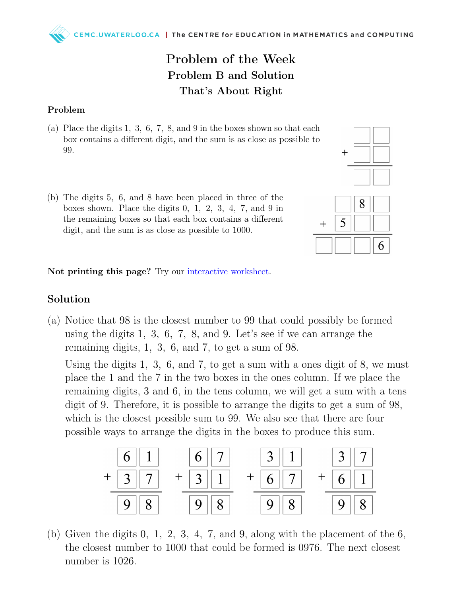## Problem of the Week Problem B and Solution That's About Right

## Problem

- (a) Place the digits 1, 3, 6, 7, 8, and 9 in the boxes shown so that each box contains a different digit, and the sum is as close as possible to 99.
- (b) The digits 5, 6, and 8 have been placed in three of the boxes shown. Place the digits 0, 1, 2, 3, 4, 7, and 9 in the remaining boxes so that each box contains a different digit, and the sum is as close as possible to 1000.



Not printing this page? Try our [interactive worksheet.](https://www.geogebra.org/m/qu4ekzth)

## Solution

(a) Notice that 98 is the closest number to 99 that could possibly be formed using the digits 1, 3, 6, 7, 8, and 9. Let's see if we can arrange the remaining digits, 1, 3, 6, and 7, to get a sum of 98.

Using the digits 1, 3, 6, and 7, to get a sum with a ones digit of 8, we must place the 1 and the 7 in the two boxes in the ones column. If we place the remaining digits, 3 and 6, in the tens column, we will get a sum with a tens digit of 9. Therefore, it is possible to arrange the digits to get a sum of 98, which is the closest possible sum to 99. We also see that there are four possible ways to arrange the digits in the boxes to produce this sum.



(b) Given the digits  $0, 1, 2, 3, 4, 7,$  and  $9$ , along with the placement of the  $6$ , the closest number to 1000 that could be formed is 0976. The next closest number is 1026.